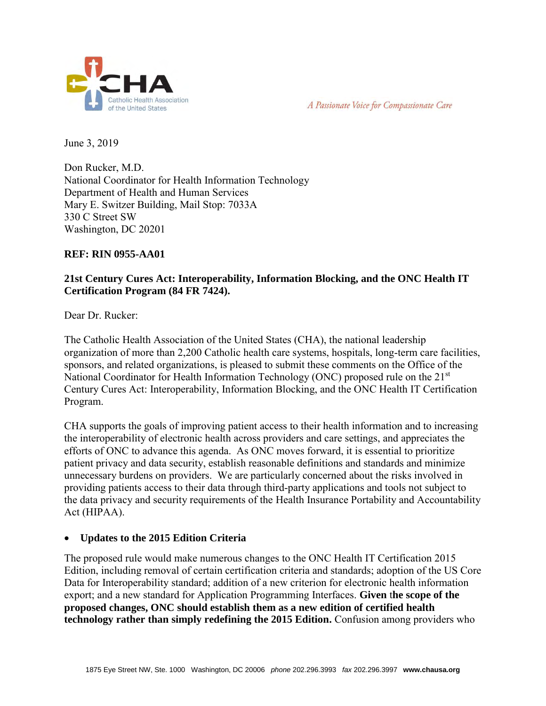



June 3, 2019

Don Rucker, M.D. National Coordinator for Health Information Technology Department of Health and Human Services Mary E. Switzer Building, Mail Stop: 7033A 330 C Street SW Washington, DC 20201

#### **REF: RIN 0955-AA01**

# **21st Century Cures Act: Interoperability, Information Blocking, and the ONC Health IT Certification Program (84 FR 7424).**

Dear Dr. Rucker:

The Catholic Health Association of the United States (CHA), the national leadership organization of more than 2,200 Catholic health care systems, hospitals, long-term care facilities, sponsors, and related organizations, is pleased to submit these comments on the Office of the National Coordinator for Health Information Technology (ONC) proposed rule on the 21<sup>st</sup> Century Cures Act: Interoperability, Information Blocking, and the ONC Health IT Certification Program.

CHA supports the goals of improving patient access to their health information and to increasing the interoperability of electronic health across providers and care settings, and appreciates the efforts of ONC to advance this agenda. As ONC moves forward, it is essential to prioritize patient privacy and data security, establish reasonable definitions and standards and minimize unnecessary burdens on providers. We are particularly concerned about the risks involved in providing patients access to their data through third-party applications and tools not subject to the data privacy and security requirements of the Health Insurance Portability and Accountability Act (HIPAA).

### **Updates to the 2015 Edition Criteria**

The proposed rule would make numerous changes to the ONC Health IT Certification 2015 Edition, including removal of certain certification criteria and standards; adoption of the US Core Data for Interoperability standard; addition of a new criterion for electronic health information export; and a new standard for Application Programming Interfaces. **Given** t**he scope of the proposed changes, ONC should establish them as a new edition of certified health technology rather than simply redefining the 2015 Edition.** Confusion among providers who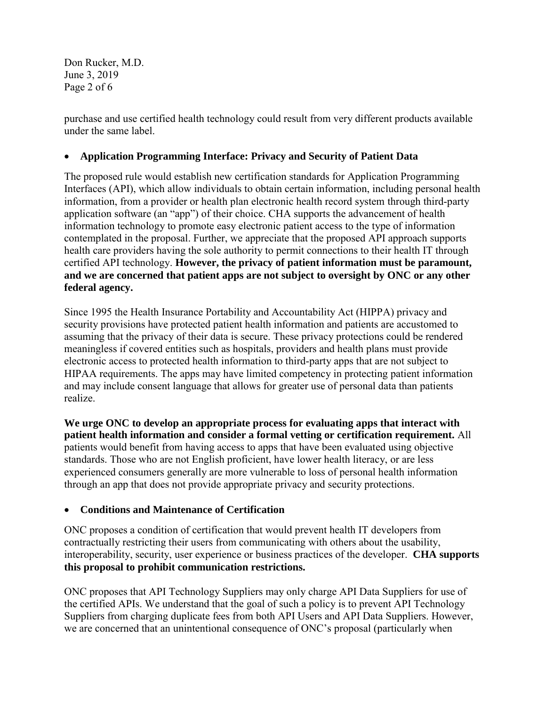Don Rucker, M.D. June 3, 2019 Page 2 of 6

purchase and use certified health technology could result from very different products available under the same label.

## **Application Programming Interface: Privacy and Security of Patient Data**

The proposed rule would establish new certification standards for Application Programming Interfaces (API), which allow individuals to obtain certain information, including personal health information, from a provider or health plan electronic health record system through third-party application software (an "app") of their choice. CHA supports the advancement of health information technology to promote easy electronic patient access to the type of information contemplated in the proposal. Further, we appreciate that the proposed API approach supports health care providers having the sole authority to permit connections to their health IT through certified API technology. **However, the privacy of patient information must be paramount, and we are concerned that patient apps are not subject to oversight by ONC or any other federal agency.** 

Since 1995 the Health Insurance Portability and Accountability Act (HIPPA) privacy and security provisions have protected patient health information and patients are accustomed to assuming that the privacy of their data is secure. These privacy protections could be rendered meaningless if covered entities such as hospitals, providers and health plans must provide electronic access to protected health information to third-party apps that are not subject to HIPAA requirements. The apps may have limited competency in protecting patient information and may include consent language that allows for greater use of personal data than patients realize.

**We urge ONC to develop an appropriate process for evaluating apps that interact with patient health information and consider a formal vetting or certification requirement.** All patients would benefit from having access to apps that have been evaluated using objective standards. Those who are not English proficient, have lower health literacy, or are less experienced consumers generally are more vulnerable to loss of personal health information through an app that does not provide appropriate privacy and security protections.

### **Conditions and Maintenance of Certification**

ONC proposes a condition of certification that would prevent health IT developers from contractually restricting their users from communicating with others about the usability, interoperability, security, user experience or business practices of the developer. **CHA supports this proposal to prohibit communication restrictions.** 

ONC proposes that API Technology Suppliers may only charge API Data Suppliers for use of the certified APIs. We understand that the goal of such a policy is to prevent API Technology Suppliers from charging duplicate fees from both API Users and API Data Suppliers. However, we are concerned that an unintentional consequence of ONC's proposal (particularly when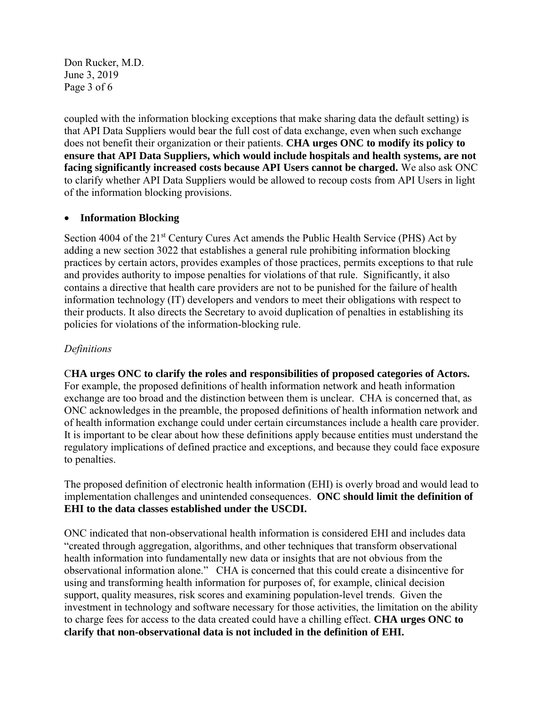Don Rucker, M.D. June 3, 2019 Page 3 of 6

coupled with the information blocking exceptions that make sharing data the default setting) is that API Data Suppliers would bear the full cost of data exchange, even when such exchange does not benefit their organization or their patients. **CHA urges ONC to modify its policy to ensure that API Data Suppliers, which would include hospitals and health systems, are not facing significantly increased costs because API Users cannot be charged.** We also ask ONC to clarify whether API Data Suppliers would be allowed to recoup costs from API Users in light of the information blocking provisions.

#### **Information Blocking**

Section 4004 of the 21<sup>st</sup> Century Cures Act amends the Public Health Service (PHS) Act by adding a new section 3022 that establishes a general rule prohibiting information blocking practices by certain actors, provides examples of those practices, permits exceptions to that rule and provides authority to impose penalties for violations of that rule. Significantly, it also contains a directive that health care providers are not to be punished for the failure of health information technology (IT) developers and vendors to meet their obligations with respect to their products. It also directs the Secretary to avoid duplication of penalties in establishing its policies for violations of the information-blocking rule.

### *Definitions*

C**HA urges ONC to clarify the roles and responsibilities of proposed categories of Actors.**  For example, the proposed definitions of health information network and heath information exchange are too broad and the distinction between them is unclear. CHA is concerned that, as ONC acknowledges in the preamble, the proposed definitions of health information network and of health information exchange could under certain circumstances include a health care provider. It is important to be clear about how these definitions apply because entities must understand the regulatory implications of defined practice and exceptions, and because they could face exposure to penalties.

The proposed definition of electronic health information (EHI) is overly broad and would lead to implementation challenges and unintended consequences. **ONC should limit the definition of EHI to the data classes established under the USCDI.** 

ONC indicated that non-observational health information is considered EHI and includes data "created through aggregation, algorithms, and other techniques that transform observational health information into fundamentally new data or insights that are not obvious from the observational information alone." CHA is concerned that this could create a disincentive for using and transforming health information for purposes of, for example, clinical decision support, quality measures, risk scores and examining population-level trends. Given the investment in technology and software necessary for those activities, the limitation on the ability to charge fees for access to the data created could have a chilling effect. **CHA urges ONC to clarify that non-observational data is not included in the definition of EHI.**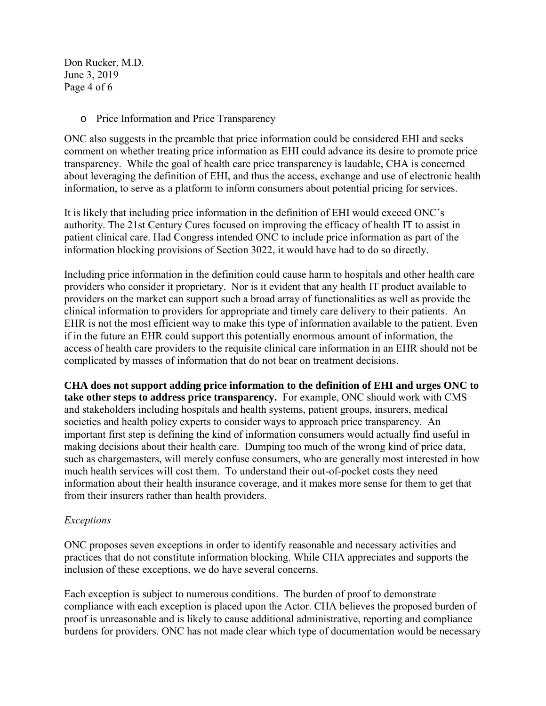Don Rucker, M.D. June 3, 2019 Page 4 of 6

o Price Information and Price Transparency

ONC also suggests in the preamble that price information could be considered EHI and seeks comment on whether treating price information as EHI could advance its desire to promote price transparency. While the goal of health care price transparency is laudable, CHA is concerned about leveraging the definition of EHI, and thus the access, exchange and use of electronic health information, to serve as a platform to inform consumers about potential pricing for services.

It is likely that including price information in the definition of EHI would exceed ONC's authority. The 21st Century Cures focused on improving the efficacy of health IT to assist in patient clinical care. Had Congress intended ONC to include price information as part of the information blocking provisions of Section 3022, it would have had to do so directly.

Including price information in the definition could cause harm to hospitals and other health care providers who consider it proprietary. Nor is it evident that any health IT product available to providers on the market can support such a broad array of functionalities as well as provide the clinical information to providers for appropriate and timely care delivery to their patients. An EHR is not the most efficient way to make this type of information available to the patient. Even if in the future an EHR could support this potentially enormous amount of information, the access of health care providers to the requisite clinical care information in an EHR should not be complicated by masses of information that do not bear on treatment decisions.

**CHA does not support adding price information to the definition of EHI and urges ONC to take other steps to address price transparency.** For example, ONC should work with CMS and stakeholders including hospitals and health systems, patient groups, insurers, medical societies and health policy experts to consider ways to approach price transparency. An important first step is defining the kind of information consumers would actually find useful in making decisions about their health care. Dumping too much of the wrong kind of price data, such as chargemasters, will merely confuse consumers, who are generally most interested in how much health services will cost them. To understand their out-of-pocket costs they need information about their health insurance coverage, and it makes more sense for them to get that from their insurers rather than health providers.

### *Exceptions*

ONC proposes seven exceptions in order to identify reasonable and necessary activities and practices that do not constitute information blocking. While CHA appreciates and supports the inclusion of these exceptions, we do have several concerns.

Each exception is subject to numerous conditions. The burden of proof to demonstrate compliance with each exception is placed upon the Actor. CHA believes the proposed burden of proof is unreasonable and is likely to cause additional administrative, reporting and compliance burdens for providers. ONC has not made clear which type of documentation would be necessary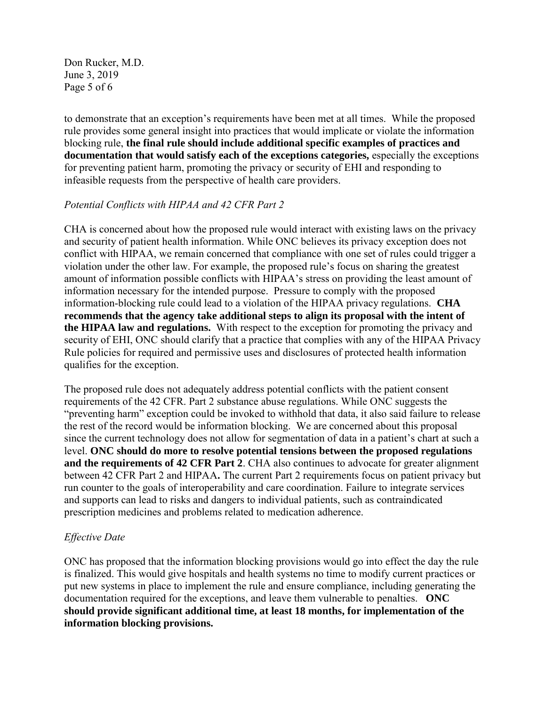Don Rucker, M.D. June 3, 2019 Page 5 of 6

to demonstrate that an exception's requirements have been met at all times. While the proposed rule provides some general insight into practices that would implicate or violate the information blocking rule, **the final rule should include additional specific examples of practices and documentation that would satisfy each of the exceptions categories,** especially the exceptions for preventing patient harm, promoting the privacy or security of EHI and responding to infeasible requests from the perspective of health care providers.

#### *Potential Conflicts with HIPAA and 42 CFR Part 2*

CHA is concerned about how the proposed rule would interact with existing laws on the privacy and security of patient health information. While ONC believes its privacy exception does not conflict with HIPAA, we remain concerned that compliance with one set of rules could trigger a violation under the other law. For example, the proposed rule's focus on sharing the greatest amount of information possible conflicts with HIPAA's stress on providing the least amount of information necessary for the intended purpose. Pressure to comply with the proposed information-blocking rule could lead to a violation of the HIPAA privacy regulations. **CHA recommends that the agency take additional steps to align its proposal with the intent of the HIPAA law and regulations.** With respect to the exception for promoting the privacy and security of EHI, ONC should clarify that a practice that complies with any of the HIPAA Privacy Rule policies for required and permissive uses and disclosures of protected health information qualifies for the exception.

The proposed rule does not adequately address potential conflicts with the patient consent requirements of the 42 CFR. Part 2 substance abuse regulations. While ONC suggests the "preventing harm" exception could be invoked to withhold that data, it also said failure to release the rest of the record would be information blocking. We are concerned about this proposal since the current technology does not allow for segmentation of data in a patient's chart at such a level. **ONC should do more to resolve potential tensions between the proposed regulations and the requirements of 42 CFR Part 2**. CHA also continues to advocate for greater alignment between 42 CFR Part 2 and HIPAA**.** The current Part 2 requirements focus on patient privacy but run counter to the goals of interoperability and care coordination. Failure to integrate services and supports can lead to risks and dangers to individual patients, such as contraindicated prescription medicines and problems related to medication adherence.

### *Effective Date*

ONC has proposed that the information blocking provisions would go into effect the day the rule is finalized. This would give hospitals and health systems no time to modify current practices or put new systems in place to implement the rule and ensure compliance, including generating the documentation required for the exceptions, and leave them vulnerable to penalties. **ONC should provide significant additional time, at least 18 months, for implementation of the information blocking provisions.**